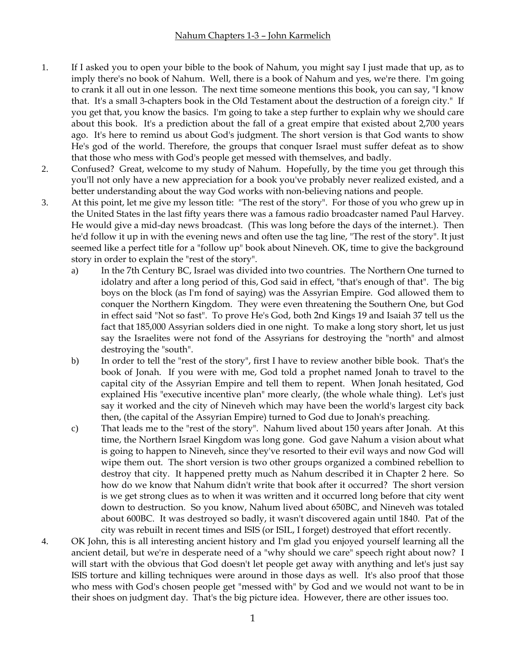- 1. If I asked you to open your bible to the book of Nahum, you might say I just made that up, as to imply there's no book of Nahum. Well, there is a book of Nahum and yes, we're there. I'm going to crank it all out in one lesson. The next time someone mentions this book, you can say, "I know that. It's a small 3-chapters book in the Old Testament about the destruction of a foreign city." If you get that, you know the basics. I'm going to take a step further to explain why we should care about this book. It's a prediction about the fall of a great empire that existed about 2,700 years ago. It's here to remind us about God's judgment. The short version is that God wants to show He's god of the world. Therefore, the groups that conquer Israel must suffer defeat as to show that those who mess with God's people get messed with themselves, and badly.
- 2. Confused? Great, welcome to my study of Nahum. Hopefully, by the time you get through this you'll not only have a new appreciation for a book you've probably never realized existed, and a better understanding about the way God works with non-believing nations and people.
- 3. At this point, let me give my lesson title: "The rest of the story". For those of you who grew up in the United States in the last fifty years there was a famous radio broadcaster named Paul Harvey. He would give a mid-day news broadcast. (This was long before the days of the internet.). Then he'd follow it up in with the evening news and often use the tag line, "The rest of the story". It just seemed like a perfect title for a "follow up" book about Nineveh. OK, time to give the background story in order to explain the "rest of the story".
	- a) In the 7th Century BC, Israel was divided into two countries. The Northern One turned to idolatry and after a long period of this, God said in effect, "that's enough of that". The big boys on the block (as I'm fond of saying) was the Assyrian Empire. God allowed them to conquer the Northern Kingdom. They were even threatening the Southern One, but God in effect said "Not so fast". To prove He's God, both 2nd Kings 19 and Isaiah 37 tell us the fact that 185,000 Assyrian solders died in one night. To make a long story short, let us just say the Israelites were not fond of the Assyrians for destroying the "north" and almost destroying the "south".
	- b) In order to tell the "rest of the story", first I have to review another bible book. That's the book of Jonah. If you were with me, God told a prophet named Jonah to travel to the capital city of the Assyrian Empire and tell them to repent. When Jonah hesitated, God explained His "executive incentive plan" more clearly, (the whole whale thing). Let's just say it worked and the city of Nineveh which may have been the world's largest city back then, (the capital of the Assyrian Empire) turned to God due to Jonah's preaching.
	- c) That leads me to the "rest of the story". Nahum lived about 150 years after Jonah. At this time, the Northern Israel Kingdom was long gone. God gave Nahum a vision about what is going to happen to Nineveh, since they've resorted to their evil ways and now God will wipe them out. The short version is two other groups organized a combined rebellion to destroy that city. It happened pretty much as Nahum described it in Chapter 2 here. So how do we know that Nahum didn't write that book after it occurred? The short version is we get strong clues as to when it was written and it occurred long before that city went down to destruction. So you know, Nahum lived about 650BC, and Nineveh was totaled about 600BC. It was destroyed so badly, it wasn't discovered again until 1840. Pat of the city was rebuilt in recent times and ISIS (or ISIL, I forget) destroyed that effort recently.
- 4. OK John, this is all interesting ancient history and I'm glad you enjoyed yourself learning all the ancient detail, but we're in desperate need of a "why should we care" speech right about now? I will start with the obvious that God doesn't let people get away with anything and let's just say ISIS torture and killing techniques were around in those days as well. It's also proof that those who mess with God's chosen people get "messed with" by God and we would not want to be in their shoes on judgment day. That's the big picture idea. However, there are other issues too.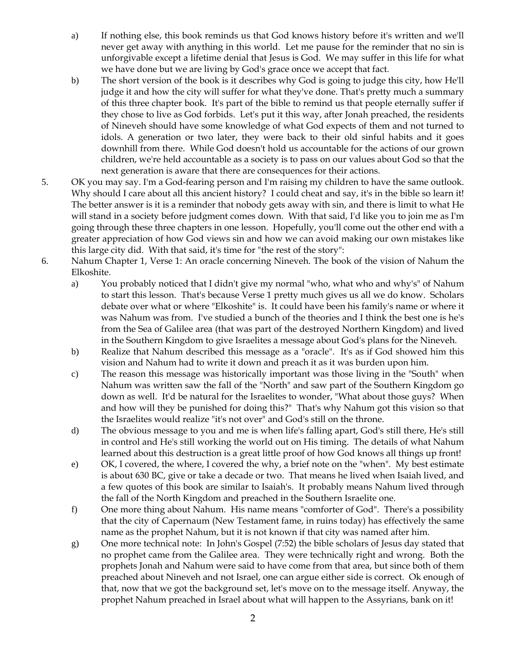- a) If nothing else, this book reminds us that God knows history before it's written and we'll never get away with anything in this world. Let me pause for the reminder that no sin is unforgivable except a lifetime denial that Jesus is God. We may suffer in this life for what we have done but we are living by God's grace once we accept that fact.
- b) The short version of the book is it describes why God is going to judge this city, how He'll judge it and how the city will suffer for what they've done. That's pretty much a summary of this three chapter book. It's part of the bible to remind us that people eternally suffer if they chose to live as God forbids. Let's put it this way, after Jonah preached, the residents of Nineveh should have some knowledge of what God expects of them and not turned to idols. A generation or two later, they were back to their old sinful habits and it goes downhill from there. While God doesn't hold us accountable for the actions of our grown children, we're held accountable as a society is to pass on our values about God so that the next generation is aware that there are consequences for their actions.
- 5. OK you may say. I'm a God-fearing person and I'm raising my children to have the same outlook. Why should I care about all this ancient history? I could cheat and say, it's in the bible so learn it! The better answer is it is a reminder that nobody gets away with sin, and there is limit to what He will stand in a society before judgment comes down. With that said, I'd like you to join me as I'm going through these three chapters in one lesson. Hopefully, you'll come out the other end with a greater appreciation of how God views sin and how we can avoid making our own mistakes like this large city did. With that said, it's time for "the rest of the story":
- 6. Nahum Chapter 1, Verse 1: An oracle concerning Nineveh. The book of the vision of Nahum the Elkoshite.
	- a) You probably noticed that I didn't give my normal "who, what who and why's" of Nahum to start this lesson. That's because Verse 1 pretty much gives us all we do know. Scholars debate over what or where "Elkoshite" is. It could have been his family's name or where it was Nahum was from. I've studied a bunch of the theories and I think the best one is he's from the Sea of Galilee area (that was part of the destroyed Northern Kingdom) and lived in the Southern Kingdom to give Israelites a message about God's plans for the Nineveh.
	- b) Realize that Nahum described this message as a "oracle". It's as if God showed him this vision and Nahum had to write it down and preach it as it was burden upon him.
	- c) The reason this message was historically important was those living in the "South" when Nahum was written saw the fall of the "North" and saw part of the Southern Kingdom go down as well. It'd be natural for the Israelites to wonder, "What about those guys? When and how will they be punished for doing this?" That's why Nahum got this vision so that the Israelites would realize "it's not over" and God's still on the throne.
	- d) The obvious message to you and me is when life's falling apart, God's still there, He's still in control and He's still working the world out on His timing. The details of what Nahum learned about this destruction is a great little proof of how God knows all things up front!
	- e) OK, I covered, the where, I covered the why, a brief note on the "when". My best estimate is about 630 BC, give or take a decade or two. That means he lived when Isaiah lived, and a few quotes of this book are similar to Isaiah's. It probably means Nahum lived through the fall of the North Kingdom and preached in the Southern Israelite one.
	- f) One more thing about Nahum. His name means "comforter of God". There's a possibility that the city of Capernaum (New Testament fame, in ruins today) has effectively the same name as the prophet Nahum, but it is not known if that city was named after him.
	- g) One more technical note: In John's Gospel (7:52) the bible scholars of Jesus day stated that no prophet came from the Galilee area. They were technically right and wrong. Both the prophets Jonah and Nahum were said to have come from that area, but since both of them preached about Nineveh and not Israel, one can argue either side is correct. Ok enough of that, now that we got the background set, let's move on to the message itself. Anyway, the prophet Nahum preached in Israel about what will happen to the Assyrians, bank on it!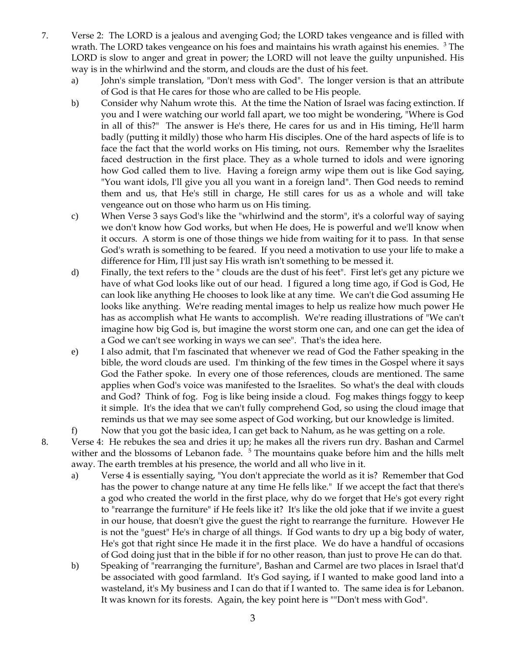- 7. Verse 2: The LORD is a jealous and avenging God; the LORD takes vengeance and is filled with wrath. The LORD takes vengeance on his foes and maintains his wrath against his enemies.  $3$  The LORD is slow to anger and great in power; the LORD will not leave the guilty unpunished. His way is in the whirlwind and the storm, and clouds are the dust of his feet.
	- a) John's simple translation, "Don't mess with God". The longer version is that an attribute of God is that He cares for those who are called to be His people.
	- b) Consider why Nahum wrote this. At the time the Nation of Israel was facing extinction. If you and I were watching our world fall apart, we too might be wondering, "Where is God in all of this?" The answer is He's there, He cares for us and in His timing, He'll harm badly (putting it mildly) those who harm His disciples. One of the hard aspects of life is to face the fact that the world works on His timing, not ours. Remember why the Israelites faced destruction in the first place. They as a whole turned to idols and were ignoring how God called them to live. Having a foreign army wipe them out is like God saying, "You want idols, I'll give you all you want in a foreign land". Then God needs to remind them and us, that He's still in charge, He still cares for us as a whole and will take vengeance out on those who harm us on His timing.
	- c) When Verse 3 says God's like the "whirlwind and the storm", it's a colorful way of saying we don't know how God works, but when He does, He is powerful and we'll know when it occurs. A storm is one of those things we hide from waiting for it to pass. In that sense God's wrath is something to be feared. If you need a motivation to use your life to make a difference for Him, I'll just say His wrath isn't something to be messed it.
	- d) Finally, the text refers to the " clouds are the dust of his feet". First let's get any picture we have of what God looks like out of our head. I figured a long time ago, if God is God, He can look like anything He chooses to look like at any time. We can't die God assuming He looks like anything. We're reading mental images to help us realize how much power He has as accomplish what He wants to accomplish. We're reading illustrations of "We can't imagine how big God is, but imagine the worst storm one can, and one can get the idea of a God we can't see working in ways we can see". That's the idea here.
	- e) I also admit, that I'm fascinated that whenever we read of God the Father speaking in the bible, the word clouds are used. I'm thinking of the few times in the Gospel where it says God the Father spoke. In every one of those references, clouds are mentioned. The same applies when God's voice was manifested to the Israelites. So what's the deal with clouds and God? Think of fog. Fog is like being inside a cloud. Fog makes things foggy to keep it simple. It's the idea that we can't fully comprehend God, so using the cloud image that reminds us that we may see some aspect of God working, but our knowledge is limited.
	- f) Now that you got the basic idea, I can get back to Nahum, as he was getting on a role.
- 8. Verse 4: He rebukes the sea and dries it up; he makes all the rivers run dry. Bashan and Carmel wither and the blossoms of Lebanon fade.  $5$  The mountains quake before him and the hills melt away. The earth trembles at his presence, the world and all who live in it.
	- a) Verse 4 is essentially saying, "You don't appreciate the world as it is? Remember that God has the power to change nature at any time He fells like." If we accept the fact that there's a god who created the world in the first place, why do we forget that He's got every right to "rearrange the furniture" if He feels like it? It's like the old joke that if we invite a guest in our house, that doesn't give the guest the right to rearrange the furniture. However He is not the "guest" He's in charge of all things. If God wants to dry up a big body of water, He's got that right since He made it in the first place. We do have a handful of occasions of God doing just that in the bible if for no other reason, than just to prove He can do that.
	- b) Speaking of "rearranging the furniture", Bashan and Carmel are two places in Israel that'd be associated with good farmland. It's God saying, if I wanted to make good land into a wasteland, it's My business and I can do that if I wanted to. The same idea is for Lebanon. It was known for its forests. Again, the key point here is ""Don't mess with God".

3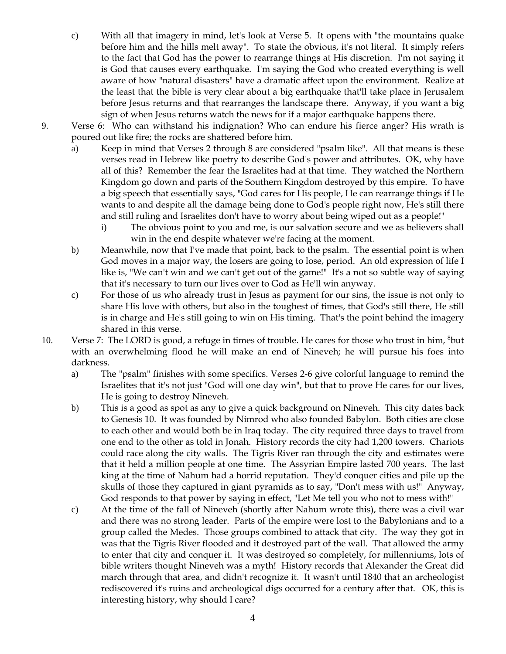- c) With all that imagery in mind, let's look at Verse 5. It opens with "the mountains quake before him and the hills melt away". To state the obvious, it's not literal. It simply refers to the fact that God has the power to rearrange things at His discretion. I'm not saying it is God that causes every earthquake. I'm saying the God who created everything is well aware of how "natural disasters" have a dramatic affect upon the environment. Realize at the least that the bible is very clear about a big earthquake that'll take place in Jerusalem before Jesus returns and that rearranges the landscape there. Anyway, if you want a big sign of when Jesus returns watch the news for if a major earthquake happens there.
- 9. Verse 6: Who can withstand his indignation? Who can endure his fierce anger? His wrath is poured out like fire; the rocks are shattered before him.
	- a) Keep in mind that Verses 2 through 8 are considered "psalm like". All that means is these verses read in Hebrew like poetry to describe God's power and attributes. OK, why have all of this? Remember the fear the Israelites had at that time. They watched the Northern Kingdom go down and parts of the Southern Kingdom destroyed by this empire. To have a big speech that essentially says, "God cares for His people, He can rearrange things if He wants to and despite all the damage being done to God's people right now, He's still there and still ruling and Israelites don't have to worry about being wiped out as a people!"
		- i) The obvious point to you and me, is our salvation secure and we as believers shall win in the end despite whatever we're facing at the moment.
	- b) Meanwhile, now that I've made that point, back to the psalm. The essential point is when God moves in a major way, the losers are going to lose, period. An old expression of life I like is, "We can't win and we can't get out of the game!" It's a not so subtle way of saying that it's necessary to turn our lives over to God as He'll win anyway.
	- c) For those of us who already trust in Jesus as payment for our sins, the issue is not only to share His love with others, but also in the toughest of times, that God's still there, He still is in charge and He's still going to win on His timing. That's the point behind the imagery shared in this verse.
- 10. Verse 7: The LORD is good, a refuge in times of trouble. He cares for those who trust in him, <sup>8</sup>but with an overwhelming flood he will make an end of Nineveh; he will pursue his foes into darkness.
	- a) The "psalm" finishes with some specifics. Verses 2-6 give colorful language to remind the Israelites that it's not just "God will one day win", but that to prove He cares for our lives, He is going to destroy Nineveh.
	- b) This is a good as spot as any to give a quick background on Nineveh. This city dates back to Genesis 10. It was founded by Nimrod who also founded Babylon. Both cities are close to each other and would both be in Iraq today. The city required three days to travel from one end to the other as told in Jonah. History records the city had 1,200 towers. Chariots could race along the city walls. The Tigris River ran through the city and estimates were that it held a million people at one time. The Assyrian Empire lasted 700 years. The last king at the time of Nahum had a horrid reputation. They'd conquer cities and pile up the skulls of those they captured in giant pyramids as to say, "Don't mess with us!" Anyway, God responds to that power by saying in effect, "Let Me tell you who not to mess with!"
	- c) At the time of the fall of Nineveh (shortly after Nahum wrote this), there was a civil war and there was no strong leader. Parts of the empire were lost to the Babylonians and to a group called the Medes. Those groups combined to attack that city. The way they got in was that the Tigris River flooded and it destroyed part of the wall. That allowed the army to enter that city and conquer it. It was destroyed so completely, for millenniums, lots of bible writers thought Nineveh was a myth! History records that Alexander the Great did march through that area, and didn't recognize it. It wasn't until 1840 that an archeologist rediscovered it's ruins and archeological digs occurred for a century after that. OK, this is interesting history, why should I care?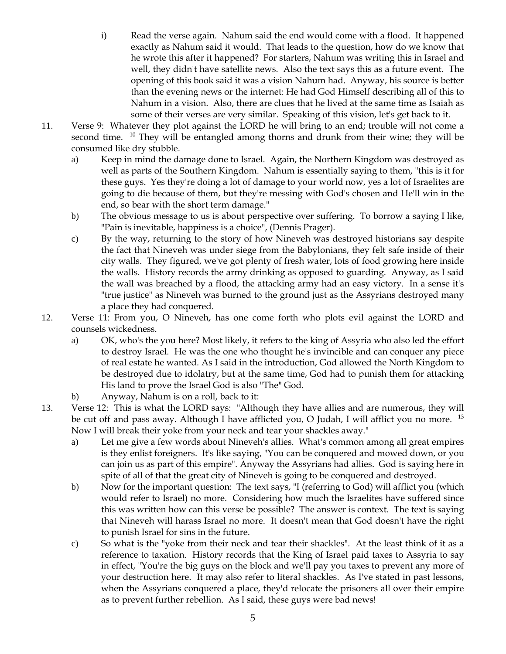- i) Read the verse again. Nahum said the end would come with a flood. It happened exactly as Nahum said it would. That leads to the question, how do we know that he wrote this after it happened? For starters, Nahum was writing this in Israel and well, they didn't have satellite news. Also the text says this as a future event. The opening of this book said it was a vision Nahum had. Anyway, his source is better than the evening news or the internet: He had God Himself describing all of this to Nahum in a vision. Also, there are clues that he lived at the same time as Isaiah as some of their verses are very similar. Speaking of this vision, let's get back to it.
- 11. Verse 9: Whatever they plot against the LORD he will bring to an end; trouble will not come a second time. <sup>10</sup> They will be entangled among thorns and drunk from their wine; they will be consumed like dry stubble.
	- a) Keep in mind the damage done to Israel. Again, the Northern Kingdom was destroyed as well as parts of the Southern Kingdom. Nahum is essentially saying to them, "this is it for these guys. Yes they're doing a lot of damage to your world now, yes a lot of Israelites are going to die because of them, but they're messing with God's chosen and He'll win in the end, so bear with the short term damage."
	- b) The obvious message to us is about perspective over suffering. To borrow a saying I like, "Pain is inevitable, happiness is a choice", (Dennis Prager).
	- c) By the way, returning to the story of how Nineveh was destroyed historians say despite the fact that Nineveh was under siege from the Babylonians, they felt safe inside of their city walls. They figured, we've got plenty of fresh water, lots of food growing here inside the walls. History records the army drinking as opposed to guarding. Anyway, as I said the wall was breached by a flood, the attacking army had an easy victory. In a sense it's "true justice" as Nineveh was burned to the ground just as the Assyrians destroyed many a place they had conquered.
- 12. Verse 11: From you, O Nineveh, has one come forth who plots evil against the LORD and counsels wickedness.
	- a) OK, who's the you here? Most likely, it refers to the king of Assyria who also led the effort to destroy Israel. He was the one who thought he's invincible and can conquer any piece of real estate he wanted. As I said in the introduction, God allowed the North Kingdom to be destroyed due to idolatry, but at the same time, God had to punish them for attacking His land to prove the Israel God is also "The" God.
	- b) Anyway, Nahum is on a roll, back to it:
- 13. Verse 12: This is what the LORD says: "Although they have allies and are numerous, they will be cut off and pass away. Although I have afflicted you, O Judah, I will afflict you no more. <sup>13</sup> Now I will break their yoke from your neck and tear your shackles away."
	- a) Let me give a few words about Nineveh's allies. What's common among all great empires is they enlist foreigners. It's like saying, "You can be conquered and mowed down, or you can join us as part of this empire". Anyway the Assyrians had allies. God is saying here in spite of all of that the great city of Nineveh is going to be conquered and destroyed.
	- b) Now for the important question: The text says, "I (referring to God) will afflict you (which would refer to Israel) no more. Considering how much the Israelites have suffered since this was written how can this verse be possible? The answer is context. The text is saying that Nineveh will harass Israel no more. It doesn't mean that God doesn't have the right to punish Israel for sins in the future.
	- c) So what is the "yoke from their neck and tear their shackles". At the least think of it as a reference to taxation. History records that the King of Israel paid taxes to Assyria to say in effect, "You're the big guys on the block and we'll pay you taxes to prevent any more of your destruction here. It may also refer to literal shackles. As I've stated in past lessons, when the Assyrians conquered a place, they'd relocate the prisoners all over their empire as to prevent further rebellion. As I said, these guys were bad news!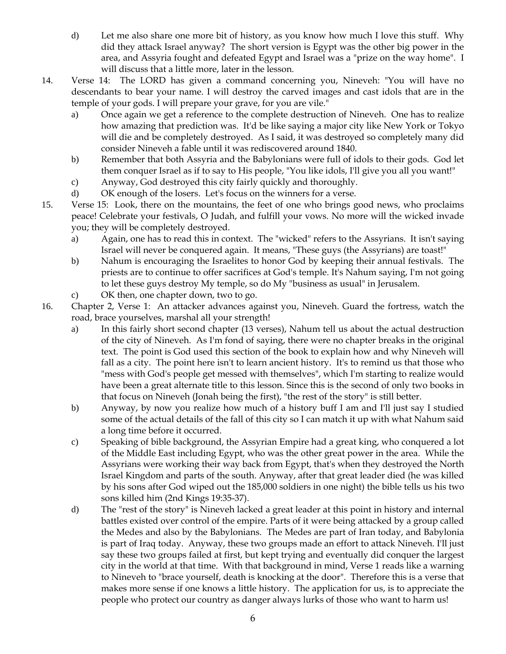- d) Let me also share one more bit of history, as you know how much I love this stuff. Why did they attack Israel anyway? The short version is Egypt was the other big power in the area, and Assyria fought and defeated Egypt and Israel was a "prize on the way home". I will discuss that a little more, later in the lesson.
- 14. Verse 14: The LORD has given a command concerning you, Nineveh: "You will have no descendants to bear your name. I will destroy the carved images and cast idols that are in the temple of your gods. I will prepare your grave, for you are vile."
	- a) Once again we get a reference to the complete destruction of Nineveh. One has to realize how amazing that prediction was. It'd be like saying a major city like New York or Tokyo will die and be completely destroyed. As I said, it was destroyed so completely many did consider Nineveh a fable until it was rediscovered around 1840.
	- b) Remember that both Assyria and the Babylonians were full of idols to their gods. God let them conquer Israel as if to say to His people, "You like idols, I'll give you all you want!"
	- c) Anyway, God destroyed this city fairly quickly and thoroughly.
	- d) OK enough of the losers. Let's focus on the winners for a verse.
- 15. Verse 15: Look, there on the mountains, the feet of one who brings good news, who proclaims peace! Celebrate your festivals, O Judah, and fulfill your vows. No more will the wicked invade you; they will be completely destroyed.
	- a) Again, one has to read this in context. The "wicked" refers to the Assyrians. It isn't saying Israel will never be conquered again. It means, "These guys (the Assyrians) are toast!"
	- b) Nahum is encouraging the Israelites to honor God by keeping their annual festivals. The priests are to continue to offer sacrifices at God's temple. It's Nahum saying, I'm not going to let these guys destroy My temple, so do My "business as usual" in Jerusalem.
	- c) OK then, one chapter down, two to go.
- 16. Chapter 2, Verse 1: An attacker advances against you, Nineveh. Guard the fortress, watch the road, brace yourselves, marshal all your strength!
	- a) In this fairly short second chapter (13 verses), Nahum tell us about the actual destruction of the city of Nineveh. As I'm fond of saying, there were no chapter breaks in the original text. The point is God used this section of the book to explain how and why Nineveh will fall as a city. The point here isn't to learn ancient history. It's to remind us that those who "mess with God's people get messed with themselves", which I'm starting to realize would have been a great alternate title to this lesson. Since this is the second of only two books in that focus on Nineveh (Jonah being the first), "the rest of the story" is still better.
	- b) Anyway, by now you realize how much of a history buff I am and I'll just say I studied some of the actual details of the fall of this city so I can match it up with what Nahum said a long time before it occurred.
	- c) Speaking of bible background, the Assyrian Empire had a great king, who conquered a lot of the Middle East including Egypt, who was the other great power in the area. While the Assyrians were working their way back from Egypt, that's when they destroyed the North Israel Kingdom and parts of the south. Anyway, after that great leader died (he was killed by his sons after God wiped out the 185,000 soldiers in one night) the bible tells us his two sons killed him (2nd Kings 19:35-37).
	- d) The "rest of the story" is Nineveh lacked a great leader at this point in history and internal battles existed over control of the empire. Parts of it were being attacked by a group called the Medes and also by the Babylonians. The Medes are part of Iran today, and Babylonia is part of Iraq today. Anyway, these two groups made an effort to attack Nineveh. I'll just say these two groups failed at first, but kept trying and eventually did conquer the largest city in the world at that time. With that background in mind, Verse 1 reads like a warning to Nineveh to "brace yourself, death is knocking at the door". Therefore this is a verse that makes more sense if one knows a little history. The application for us, is to appreciate the people who protect our country as danger always lurks of those who want to harm us!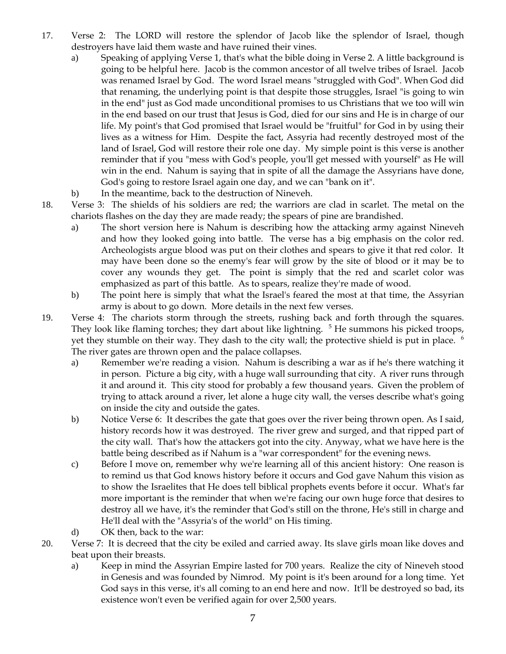- 17. Verse 2: The LORD will restore the splendor of Jacob like the splendor of Israel, though destroyers have laid them waste and have ruined their vines.
	- a) Speaking of applying Verse 1, that's what the bible doing in Verse 2. A little background is going to be helpful here. Jacob is the common ancestor of all twelve tribes of Israel. Jacob was renamed Israel by God. The word Israel means "struggled with God". When God did that renaming, the underlying point is that despite those struggles, Israel "is going to win in the end" just as God made unconditional promises to us Christians that we too will win in the end based on our trust that Jesus is God, died for our sins and He is in charge of our life. My point's that God promised that Israel would be "fruitful" for God in by using their lives as a witness for Him. Despite the fact, Assyria had recently destroyed most of the land of Israel, God will restore their role one day. My simple point is this verse is another reminder that if you "mess with God's people, you'll get messed with yourself" as He will win in the end. Nahum is saying that in spite of all the damage the Assyrians have done, God's going to restore Israel again one day, and we can "bank on it".
	- b) In the meantime, back to the destruction of Nineveh.
- 18. Verse 3: The shields of his soldiers are red; the warriors are clad in scarlet. The metal on the chariots flashes on the day they are made ready; the spears of pine are brandished.
	- a) The short version here is Nahum is describing how the attacking army against Nineveh and how they looked going into battle. The verse has a big emphasis on the color red. Archeologists argue blood was put on their clothes and spears to give it that red color. It may have been done so the enemy's fear will grow by the site of blood or it may be to cover any wounds they get. The point is simply that the red and scarlet color was emphasized as part of this battle. As to spears, realize they're made of wood.
	- b) The point here is simply that what the Israel's feared the most at that time, the Assyrian army is about to go down. More details in the next few verses.
- 19. Verse 4: The chariots storm through the streets, rushing back and forth through the squares. They look like flaming torches; they dart about like lightning. <sup>5</sup> He summons his picked troops, yet they stumble on their way. They dash to the city wall; the protective shield is put in place. <sup>6</sup> The river gates are thrown open and the palace collapses.
	- a) Remember we're reading a vision. Nahum is describing a war as if he's there watching it in person. Picture a big city, with a huge wall surrounding that city. A river runs through it and around it. This city stood for probably a few thousand years. Given the problem of trying to attack around a river, let alone a huge city wall, the verses describe what's going on inside the city and outside the gates.
	- b) Notice Verse 6: It describes the gate that goes over the river being thrown open. As I said, history records how it was destroyed. The river grew and surged, and that ripped part of the city wall. That's how the attackers got into the city. Anyway, what we have here is the battle being described as if Nahum is a "war correspondent" for the evening news.
	- c) Before I move on, remember why we're learning all of this ancient history: One reason is to remind us that God knows history before it occurs and God gave Nahum this vision as to show the Israelites that He does tell biblical prophets events before it occur. What's far more important is the reminder that when we're facing our own huge force that desires to destroy all we have, it's the reminder that God's still on the throne, He's still in charge and He'll deal with the "Assyria's of the world" on His timing.
	- d) OK then, back to the war:
- 20. Verse 7: It is decreed that the city be exiled and carried away. Its slave girls moan like doves and beat upon their breasts.
	- a) Keep in mind the Assyrian Empire lasted for 700 years. Realize the city of Nineveh stood in Genesis and was founded by Nimrod. My point is it's been around for a long time. Yet God says in this verse, it's all coming to an end here and now. It'll be destroyed so bad, its existence won't even be verified again for over 2,500 years.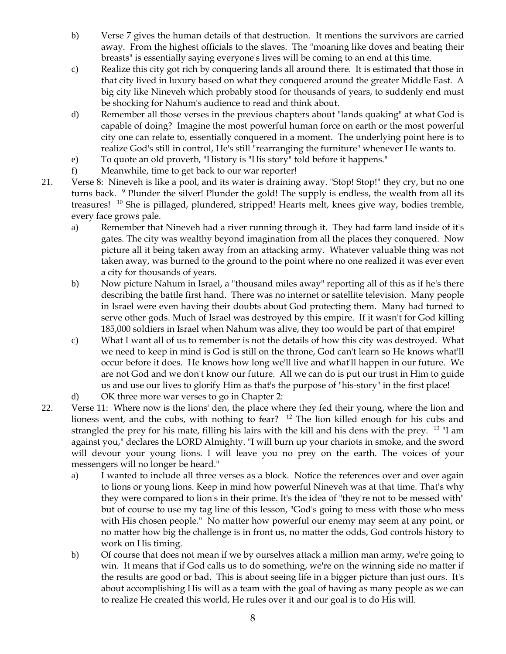- b) Verse 7 gives the human details of that destruction. It mentions the survivors are carried away. From the highest officials to the slaves. The "moaning like doves and beating their breasts" is essentially saying everyone's lives will be coming to an end at this time.
- c) Realize this city got rich by conquering lands all around there. It is estimated that those in that city lived in luxury based on what they conquered around the greater Middle East. A big city like Nineveh which probably stood for thousands of years, to suddenly end must be shocking for Nahum's audience to read and think about.
- d) Remember all those verses in the previous chapters about "lands quaking" at what God is capable of doing? Imagine the most powerful human force on earth or the most powerful city one can relate to, essentially conquered in a moment. The underlying point here is to realize God's still in control, He's still "rearranging the furniture" whenever He wants to.
- e) To quote an old proverb, "History is "His story" told before it happens."
- f) Meanwhile, time to get back to our war reporter!
- 21. Verse 8: Nineveh is like a pool, and its water is draining away. "Stop! Stop!" they cry, but no one turns back. <sup>9</sup> Plunder the silver! Plunder the gold! The supply is endless, the wealth from all its treasures! <sup>10</sup> She is pillaged, plundered, stripped! Hearts melt, knees give way, bodies tremble, every face grows pale.
	- a) Remember that Nineveh had a river running through it. They had farm land inside of it's gates. The city was wealthy beyond imagination from all the places they conquered. Now picture all it being taken away from an attacking army. Whatever valuable thing was not taken away, was burned to the ground to the point where no one realized it was ever even a city for thousands of years.
	- b) Now picture Nahum in Israel, a "thousand miles away" reporting all of this as if he's there describing the battle first hand. There was no internet or satellite television. Many people in Israel were even having their doubts about God protecting them. Many had turned to serve other gods. Much of Israel was destroyed by this empire. If it wasn't for God killing 185,000 soldiers in Israel when Nahum was alive, they too would be part of that empire!
	- c) What I want all of us to remember is not the details of how this city was destroyed. What we need to keep in mind is God is still on the throne, God can't learn so He knows what'll occur before it does. He knows how long we'll live and what'll happen in our future. We are not God and we don't know our future. All we can do is put our trust in Him to guide us and use our lives to glorify Him as that's the purpose of "his-story" in the first place!
	- d) OK three more war verses to go in Chapter 2:
- 22. Verse 11: Where now is the lions' den, the place where they fed their young, where the lion and lioness went, and the cubs, with nothing to fear? <sup>12</sup> The lion killed enough for his cubs and strangled the prey for his mate, filling his lairs with the kill and his dens with the prey. 13 "I am against you," declares the LORD Almighty. "I will burn up your chariots in smoke, and the sword will devour your young lions. I will leave you no prey on the earth. The voices of your messengers will no longer be heard."
	- a) I wanted to include all three verses as a block. Notice the references over and over again to lions or young lions. Keep in mind how powerful Nineveh was at that time. That's why they were compared to lion's in their prime. It's the idea of "they're not to be messed with" but of course to use my tag line of this lesson, "God's going to mess with those who mess with His chosen people." No matter how powerful our enemy may seem at any point, or no matter how big the challenge is in front us, no matter the odds, God controls history to work on His timing.
	- b) Of course that does not mean if we by ourselves attack a million man army, we're going to win. It means that if God calls us to do something, we're on the winning side no matter if the results are good or bad. This is about seeing life in a bigger picture than just ours. It's about accomplishing His will as a team with the goal of having as many people as we can to realize He created this world, He rules over it and our goal is to do His will.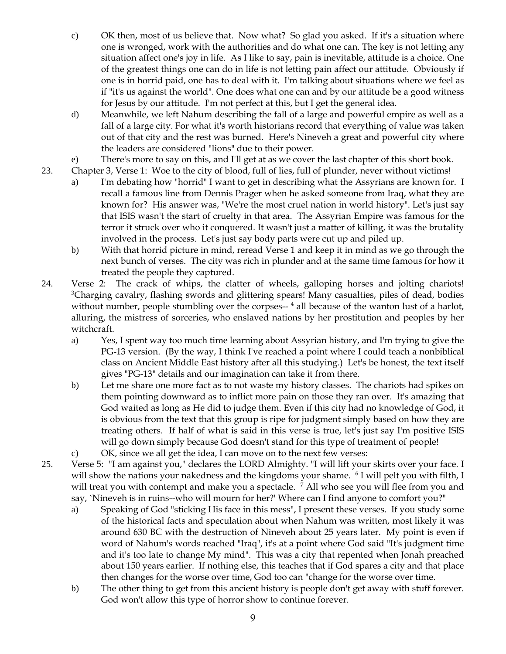- c) OK then, most of us believe that. Now what? So glad you asked. If it's a situation where one is wronged, work with the authorities and do what one can. The key is not letting any situation affect one's joy in life. As I like to say, pain is inevitable, attitude is a choice. One of the greatest things one can do in life is not letting pain affect our attitude. Obviously if one is in horrid paid, one has to deal with it. I'm talking about situations where we feel as if "it's us against the world". One does what one can and by our attitude be a good witness for Jesus by our attitude. I'm not perfect at this, but I get the general idea.
- d) Meanwhile, we left Nahum describing the fall of a large and powerful empire as well as a fall of a large city. For what it's worth historians record that everything of value was taken out of that city and the rest was burned. Here's Nineveh a great and powerful city where the leaders are considered "lions" due to their power.
- e) There's more to say on this, and I'll get at as we cover the last chapter of this short book.
- 23. Chapter 3, Verse 1: Woe to the city of blood, full of lies, full of plunder, never without victims!
	- a) I'm debating how "horrid" I want to get in describing what the Assyrians are known for. I recall a famous line from Dennis Prager when he asked someone from Iraq, what they are known for? His answer was, "We're the most cruel nation in world history". Let's just say that ISIS wasn't the start of cruelty in that area. The Assyrian Empire was famous for the terror it struck over who it conquered. It wasn't just a matter of killing, it was the brutality involved in the process. Let's just say body parts were cut up and piled up.
	- b) With that horrid picture in mind, reread Verse 1 and keep it in mind as we go through the next bunch of verses. The city was rich in plunder and at the same time famous for how it treated the people they captured.
- 24. Verse 2: The crack of whips, the clatter of wheels, galloping horses and jolting chariots! <sup>3</sup>Charging cavalry, flashing swords and glittering spears! Many casualties, piles of dead, bodies without number, people stumbling over the corpses--<sup>4</sup> all because of the wanton lust of a harlot, alluring, the mistress of sorceries, who enslaved nations by her prostitution and peoples by her witchcraft.
	- a) Yes, I spent way too much time learning about Assyrian history, and I'm trying to give the PG-13 version. (By the way, I think I've reached a point where I could teach a nonbiblical class on Ancient Middle East history after all this studying.) Let's be honest, the text itself gives "PG-13" details and our imagination can take it from there.
	- b) Let me share one more fact as to not waste my history classes. The chariots had spikes on them pointing downward as to inflict more pain on those they ran over. It's amazing that God waited as long as He did to judge them. Even if this city had no knowledge of God, it is obvious from the text that this group is ripe for judgment simply based on how they are treating others. If half of what is said in this verse is true, let's just say I'm positive ISIS will go down simply because God doesn't stand for this type of treatment of people!
	- c) OK, since we all get the idea, I can move on to the next few verses:
- 25. Verse 5: "I am against you," declares the LORD Almighty. "I will lift your skirts over your face. I will show the nations your nakedness and the kingdoms your shame. <sup>6</sup> I will pelt you with filth, I will treat you with contempt and make you a spectacle. <sup>7</sup> All who see you will flee from you and say, `Nineveh is in ruins--who will mourn for her?' Where can I find anyone to comfort you?"
	- a) Speaking of God "sticking His face in this mess", I present these verses. If you study some of the historical facts and speculation about when Nahum was written, most likely it was around 630 BC with the destruction of Nineveh about 25 years later. My point is even if word of Nahum's words reached "Iraq", it's at a point where God said "It's judgment time and it's too late to change My mind". This was a city that repented when Jonah preached about 150 years earlier. If nothing else, this teaches that if God spares a city and that place then changes for the worse over time, God too can "change for the worse over time.
	- b) The other thing to get from this ancient history is people don't get away with stuff forever. God won't allow this type of horror show to continue forever.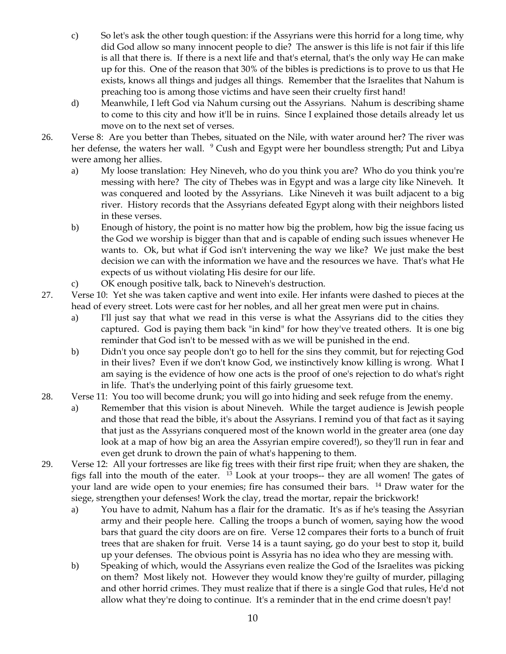- c) So let's ask the other tough question: if the Assyrians were this horrid for a long time, why did God allow so many innocent people to die? The answer is this life is not fair if this life is all that there is. If there is a next life and that's eternal, that's the only way He can make up for this. One of the reason that 30% of the bibles is predictions is to prove to us that He exists, knows all things and judges all things. Remember that the Israelites that Nahum is preaching too is among those victims and have seen their cruelty first hand!
- d) Meanwhile, I left God via Nahum cursing out the Assyrians. Nahum is describing shame to come to this city and how it'll be in ruins. Since I explained those details already let us move on to the next set of verses.
- 26. Verse 8: Are you better than Thebes, situated on the Nile, with water around her? The river was her defense, the waters her wall. <sup>9</sup> Cush and Egypt were her boundless strength; Put and Libya were among her allies.
	- a) My loose translation: Hey Nineveh, who do you think you are? Who do you think you're messing with here? The city of Thebes was in Egypt and was a large city like Nineveh. It was conquered and looted by the Assyrians. Like Nineveh it was built adjacent to a big river. History records that the Assyrians defeated Egypt along with their neighbors listed in these verses.
	- b) Enough of history, the point is no matter how big the problem, how big the issue facing us the God we worship is bigger than that and is capable of ending such issues whenever He wants to. Ok, but what if God isn't intervening the way we like? We just make the best decision we can with the information we have and the resources we have. That's what He expects of us without violating His desire for our life.
	- c) OK enough positive talk, back to Nineveh's destruction.
- 27. Verse 10: Yet she was taken captive and went into exile. Her infants were dashed to pieces at the head of every street. Lots were cast for her nobles, and all her great men were put in chains.
	- a) I'll just say that what we read in this verse is what the Assyrians did to the cities they captured. God is paying them back "in kind" for how they've treated others. It is one big reminder that God isn't to be messed with as we will be punished in the end.
	- b) Didn't you once say people don't go to hell for the sins they commit, but for rejecting God in their lives? Even if we don't know God, we instinctively know killing is wrong. What I am saying is the evidence of how one acts is the proof of one's rejection to do what's right in life. That's the underlying point of this fairly gruesome text.
- 28. Verse 11: You too will become drunk; you will go into hiding and seek refuge from the enemy.
	- a) Remember that this vision is about Nineveh. While the target audience is Jewish people and those that read the bible, it's about the Assyrians. I remind you of that fact as it saying that just as the Assyrians conquered most of the known world in the greater area (one day look at a map of how big an area the Assyrian empire covered!), so they'll run in fear and even get drunk to drown the pain of what's happening to them.
- 29. Verse 12: All your fortresses are like fig trees with their first ripe fruit; when they are shaken, the figs fall into the mouth of the eater. 13 Look at your troops-- they are all women! The gates of your land are wide open to your enemies; fire has consumed their bars. <sup>14</sup> Draw water for the siege, strengthen your defenses! Work the clay, tread the mortar, repair the brickwork!
	- a) You have to admit, Nahum has a flair for the dramatic. It's as if he's teasing the Assyrian army and their people here. Calling the troops a bunch of women, saying how the wood bars that guard the city doors are on fire. Verse 12 compares their forts to a bunch of fruit trees that are shaken for fruit. Verse 14 is a taunt saying, go do your best to stop it, build up your defenses. The obvious point is Assyria has no idea who they are messing with.
	- b) Speaking of which, would the Assyrians even realize the God of the Israelites was picking on them? Most likely not. However they would know they're guilty of murder, pillaging and other horrid crimes. They must realize that if there is a single God that rules, He'd not allow what they're doing to continue. It's a reminder that in the end crime doesn't pay!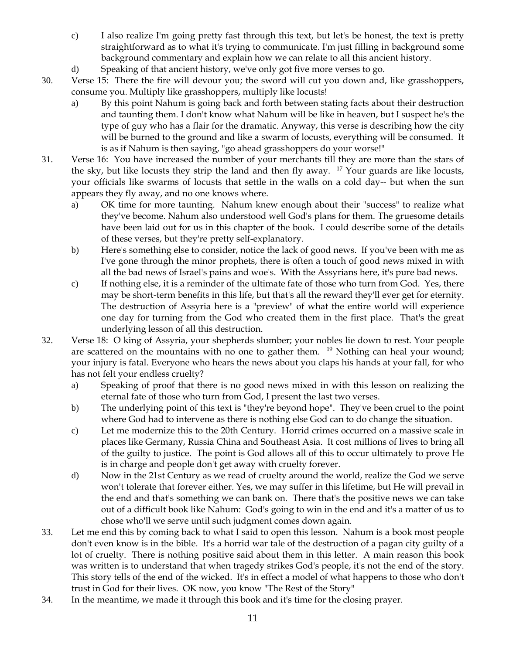- c) I also realize I'm going pretty fast through this text, but let's be honest, the text is pretty straightforward as to what it's trying to communicate. I'm just filling in background some background commentary and explain how we can relate to all this ancient history.
- d) Speaking of that ancient history, we've only got five more verses to go.
- 30. Verse 15: There the fire will devour you; the sword will cut you down and, like grasshoppers, consume you. Multiply like grasshoppers, multiply like locusts!
	- a) By this point Nahum is going back and forth between stating facts about their destruction and taunting them. I don't know what Nahum will be like in heaven, but I suspect he's the type of guy who has a flair for the dramatic. Anyway, this verse is describing how the city will be burned to the ground and like a swarm of locusts, everything will be consumed. It is as if Nahum is then saying, "go ahead grasshoppers do your worse!"
- 31. Verse 16: You have increased the number of your merchants till they are more than the stars of the sky, but like locusts they strip the land and then fly away.  $17$  Your guards are like locusts, your officials like swarms of locusts that settle in the walls on a cold day-- but when the sun appears they fly away, and no one knows where.
	- a) OK time for more taunting. Nahum knew enough about their "success" to realize what they've become. Nahum also understood well God's plans for them. The gruesome details have been laid out for us in this chapter of the book. I could describe some of the details of these verses, but they're pretty self-explanatory.
	- b) Here's something else to consider, notice the lack of good news. If you've been with me as I've gone through the minor prophets, there is often a touch of good news mixed in with all the bad news of Israel's pains and woe's. With the Assyrians here, it's pure bad news.
	- c) If nothing else, it is a reminder of the ultimate fate of those who turn from God. Yes, there may be short-term benefits in this life, but that's all the reward they'll ever get for eternity. The destruction of Assyria here is a "preview" of what the entire world will experience one day for turning from the God who created them in the first place. That's the great underlying lesson of all this destruction.
- 32. Verse 18: O king of Assyria, your shepherds slumber; your nobles lie down to rest. Your people are scattered on the mountains with no one to gather them. <sup>19</sup> Nothing can heal your wound; your injury is fatal. Everyone who hears the news about you claps his hands at your fall, for who has not felt your endless cruelty?
	- a) Speaking of proof that there is no good news mixed in with this lesson on realizing the eternal fate of those who turn from God, I present the last two verses.
	- b) The underlying point of this text is "they're beyond hope". They've been cruel to the point where God had to intervene as there is nothing else God can to do change the situation.
	- c) Let me modernize this to the 20th Century. Horrid crimes occurred on a massive scale in places like Germany, Russia China and Southeast Asia. It cost millions of lives to bring all of the guilty to justice. The point is God allows all of this to occur ultimately to prove He is in charge and people don't get away with cruelty forever.
	- d) Now in the 21st Century as we read of cruelty around the world, realize the God we serve won't tolerate that forever either. Yes, we may suffer in this lifetime, but He will prevail in the end and that's something we can bank on. There that's the positive news we can take out of a difficult book like Nahum: God's going to win in the end and it's a matter of us to chose who'll we serve until such judgment comes down again.
- 33. Let me end this by coming back to what I said to open this lesson. Nahum is a book most people don't even know is in the bible. It's a horrid war tale of the destruction of a pagan city guilty of a lot of cruelty. There is nothing positive said about them in this letter. A main reason this book was written is to understand that when tragedy strikes God's people, it's not the end of the story. This story tells of the end of the wicked. It's in effect a model of what happens to those who don't trust in God for their lives. OK now, you know "The Rest of the Story"
- 34. In the meantime, we made it through this book and it's time for the closing prayer.